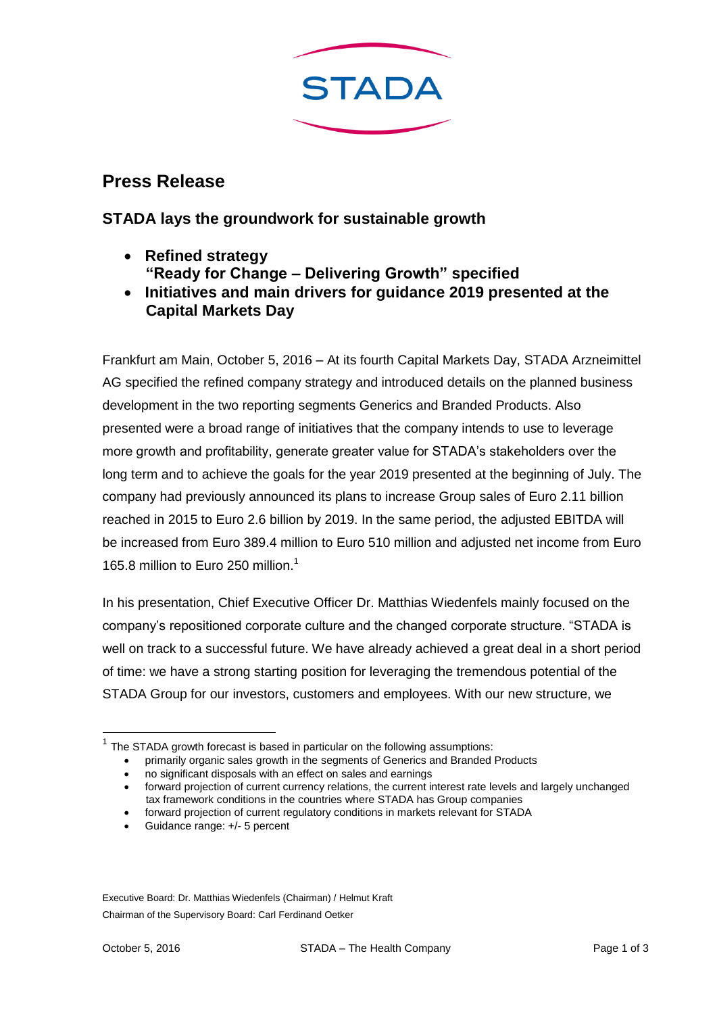

## **Press Release**

## **STADA lays the groundwork for sustainable growth**

- **Refined strategy "Ready for Change – Delivering Growth" specified**
- **Initiatives and main drivers for guidance 2019 presented at the Capital Markets Day**

Frankfurt am Main, October 5, 2016 – At its fourth Capital Markets Day, STADA Arzneimittel AG specified the refined company strategy and introduced details on the planned business development in the two reporting segments Generics and Branded Products. Also presented were a broad range of initiatives that the company intends to use to leverage more growth and profitability, generate greater value for STADA's stakeholders over the long term and to achieve the goals for the year 2019 presented at the beginning of July. The company had previously announced its plans to increase Group sales of Euro 2.11 billion reached in 2015 to Euro 2.6 billion by 2019. In the same period, the adjusted EBITDA will be increased from Euro 389.4 million to Euro 510 million and adjusted net income from Euro 165.8 million to Euro 250 million<sup>1</sup>

In his presentation, Chief Executive Officer Dr. Matthias Wiedenfels mainly focused on the company's repositioned corporate culture and the changed corporate structure. "STADA is well on track to a successful future. We have already achieved a great deal in a short period of time: we have a strong starting position for leveraging the tremendous potential of the STADA Group for our investors, customers and employees. With our new structure, we

Executive Board: Dr. Matthias Wiedenfels (Chairman) / Helmut Kraft Chairman of the Supervisory Board: Carl Ferdinand Oetker

-

 $<sup>1</sup>$  The STADA growth forecast is based in particular on the following assumptions:</sup>

primarily organic sales growth in the segments of Generics and Branded Products

no significant disposals with an effect on sales and earnings

forward projection of current currency relations, the current interest rate levels and largely unchanged tax framework conditions in the countries where STADA has Group companies

forward projection of current regulatory conditions in markets relevant for STADA

Guidance range: +/- 5 percent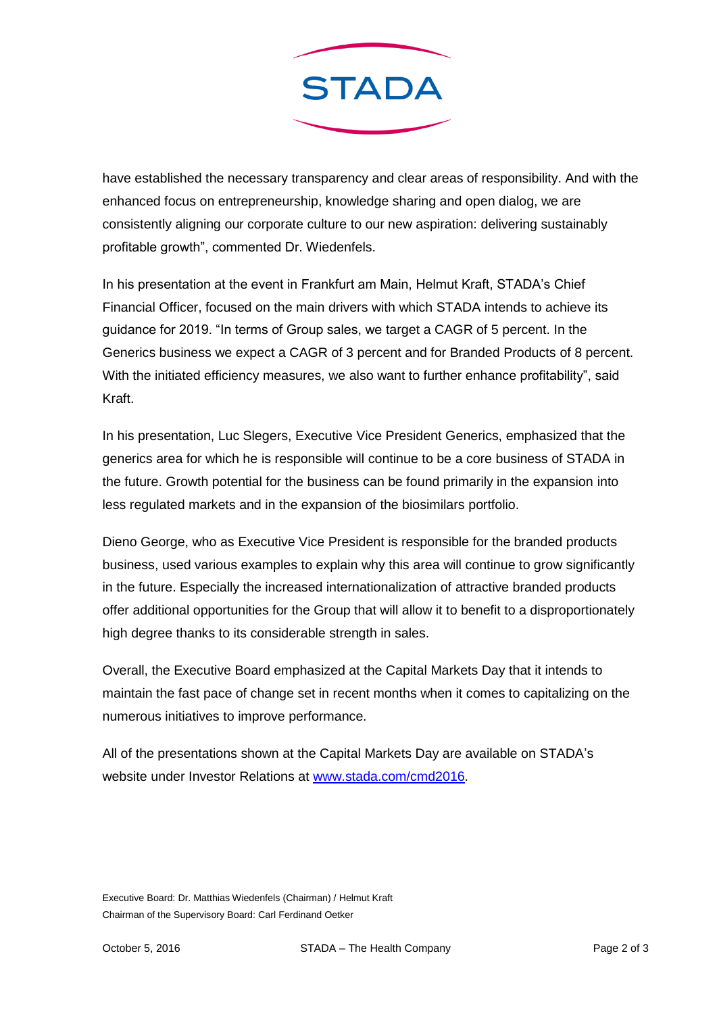

have established the necessary transparency and clear areas of responsibility. And with the enhanced focus on entrepreneurship, knowledge sharing and open dialog, we are consistently aligning our corporate culture to our new aspiration: delivering sustainably profitable growth", commented Dr. Wiedenfels.

In his presentation at the event in Frankfurt am Main, Helmut Kraft, STADA's Chief Financial Officer, focused on the main drivers with which STADA intends to achieve its guidance for 2019. "In terms of Group sales, we target a CAGR of 5 percent. In the Generics business we expect a CAGR of 3 percent and for Branded Products of 8 percent. With the initiated efficiency measures, we also want to further enhance profitability", said Kraft.

In his presentation, Luc Slegers, Executive Vice President Generics, emphasized that the generics area for which he is responsible will continue to be a core business of STADA in the future. Growth potential for the business can be found primarily in the expansion into less regulated markets and in the expansion of the biosimilars portfolio.

Dieno George, who as Executive Vice President is responsible for the branded products business, used various examples to explain why this area will continue to grow significantly in the future. Especially the increased internationalization of attractive branded products offer additional opportunities for the Group that will allow it to benefit to a disproportionately high degree thanks to its considerable strength in sales.

Overall, the Executive Board emphasized at the Capital Markets Day that it intends to maintain the fast pace of change set in recent months when it comes to capitalizing on the numerous initiatives to improve performance.

All of the presentations shown at the Capital Markets Day are available on STADA's website under Investor Relations at [www.stada.com/cmd2016.](http://www.stada.com/cmd2016)

Executive Board: Dr. Matthias Wiedenfels (Chairman) / Helmut Kraft Chairman of the Supervisory Board: Carl Ferdinand Oetker